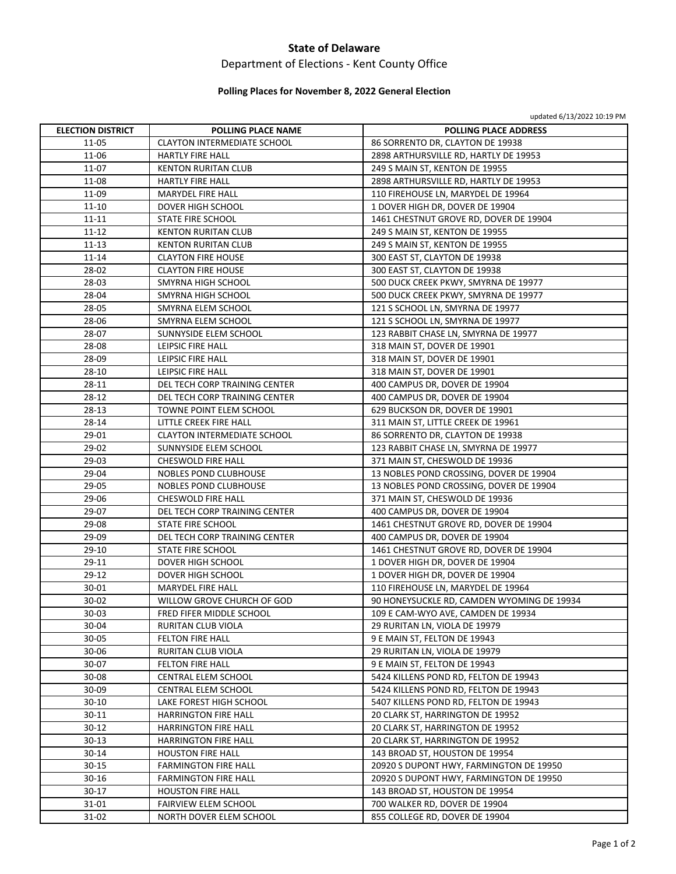### **State of Delaware**

# Department of Elections ‐ Kent County Office

### **Polling Places for November 8, 2022 General Election**

|  | updated 6/13/2022 10:19 PM |  |
|--|----------------------------|--|
|--|----------------------------|--|

| <b>ELECTION DISTRICT</b> | POLLING PLACE NAME                   | apuated of 19/2022 IO.13 Fivi                                    |
|--------------------------|--------------------------------------|------------------------------------------------------------------|
| 11-05                    | <b>CLAYTON INTERMEDIATE SCHOOL</b>   | <b>POLLING PLACE ADDRESS</b><br>86 SORRENTO DR, CLAYTON DE 19938 |
| 11-06                    | <b>HARTLY FIRE HALL</b>              | 2898 ARTHURSVILLE RD, HARTLY DE 19953                            |
| 11-07                    | <b>KENTON RURITAN CLUB</b>           | 249 S MAIN ST, KENTON DE 19955                                   |
| 11-08                    | <b>HARTLY FIRE HALL</b>              | 2898 ARTHURSVILLE RD, HARTLY DE 19953                            |
| 11-09                    | <b>MARYDEL FIRE HALL</b>             | 110 FIREHOUSE LN, MARYDEL DE 19964                               |
| $11 - 10$                | DOVER HIGH SCHOOL                    | 1 DOVER HIGH DR, DOVER DE 19904                                  |
| $11 - 11$                | STATE FIRE SCHOOL                    | 1461 CHESTNUT GROVE RD, DOVER DE 19904                           |
| $11 - 12$                | <b>KENTON RURITAN CLUB</b>           | 249 S MAIN ST, KENTON DE 19955                                   |
| $11 - 13$                | <b>KENTON RURITAN CLUB</b>           | 249 S MAIN ST, KENTON DE 19955                                   |
| $11 - 14$                | <b>CLAYTON FIRE HOUSE</b>            | 300 EAST ST, CLAYTON DE 19938                                    |
| 28-02                    | <b>CLAYTON FIRE HOUSE</b>            | 300 EAST ST, CLAYTON DE 19938                                    |
| 28-03                    | SMYRNA HIGH SCHOOL                   | 500 DUCK CREEK PKWY, SMYRNA DE 19977                             |
| 28-04                    | SMYRNA HIGH SCHOOL                   | 500 DUCK CREEK PKWY, SMYRNA DE 19977                             |
| 28-05                    | SMYRNA ELEM SCHOOL                   | 121 S SCHOOL LN, SMYRNA DE 19977                                 |
| 28-06                    | SMYRNA ELEM SCHOOL                   | 121 S SCHOOL LN, SMYRNA DE 19977                                 |
| 28-07                    | SUNNYSIDE ELEM SCHOOL                | 123 RABBIT CHASE LN, SMYRNA DE 19977                             |
| 28-08                    | LEIPSIC FIRE HALL                    | 318 MAIN ST, DOVER DE 19901                                      |
| 28-09                    | LEIPSIC FIRE HALL                    | 318 MAIN ST, DOVER DE 19901                                      |
| 28-10                    | LEIPSIC FIRE HALL                    | 318 MAIN ST, DOVER DE 19901                                      |
| 28-11                    | <b>DEL TECH CORP TRAINING CENTER</b> | 400 CAMPUS DR, DOVER DE 19904                                    |
| 28-12                    | DEL TECH CORP TRAINING CENTER        | 400 CAMPUS DR, DOVER DE 19904                                    |
| 28-13                    | TOWNE POINT ELEM SCHOOL              | 629 BUCKSON DR, DOVER DE 19901                                   |
| 28-14                    | LITTLE CREEK FIRE HALL               | 311 MAIN ST, LITTLE CREEK DE 19961                               |
| 29-01                    | <b>CLAYTON INTERMEDIATE SCHOOL</b>   | 86 SORRENTO DR, CLAYTON DE 19938                                 |
| 29-02                    | SUNNYSIDE ELEM SCHOOL                | 123 RABBIT CHASE LN, SMYRNA DE 19977                             |
| 29-03                    | CHESWOLD FIRE HALL                   | 371 MAIN ST, CHESWOLD DE 19936                                   |
| 29-04                    | NOBLES POND CLUBHOUSE                | 13 NOBLES POND CROSSING, DOVER DE 19904                          |
| 29-05                    | NOBLES POND CLUBHOUSE                | 13 NOBLES POND CROSSING, DOVER DE 19904                          |
| 29-06                    | CHESWOLD FIRE HALL                   | 371 MAIN ST, CHESWOLD DE 19936                                   |
| 29-07                    | DEL TECH CORP TRAINING CENTER        | 400 CAMPUS DR, DOVER DE 19904                                    |
| 29-08                    | STATE FIRE SCHOOL                    | 1461 CHESTNUT GROVE RD, DOVER DE 19904                           |
| 29-09                    | DEL TECH CORP TRAINING CENTER        | 400 CAMPUS DR, DOVER DE 19904                                    |
| 29-10                    | STATE FIRE SCHOOL                    | 1461 CHESTNUT GROVE RD, DOVER DE 19904                           |
| 29-11                    | DOVER HIGH SCHOOL                    | 1 DOVER HIGH DR, DOVER DE 19904                                  |
| 29-12                    | <b>DOVER HIGH SCHOOL</b>             | 1 DOVER HIGH DR, DOVER DE 19904                                  |
| 30-01                    | <b>MARYDEL FIRE HALL</b>             | 110 FIREHOUSE LN, MARYDEL DE 19964                               |
| 30-02                    | WILLOW GROVE CHURCH OF GOD           | 90 HONEYSUCKLE RD, CAMDEN WYOMING DE 19934                       |
| $30 - 03$                | FRED FIFER MIDDLE SCHOOL             | 109 E CAM-WYO AVE, CAMDEN DE 19934                               |
| 30-04                    | RURITAN CLUB VIOLA                   | 29 RURITAN LN, VIOLA DE 19979                                    |
| $30 - 05$                | <b>FELTON FIRE HALL</b>              | 9 E MAIN ST, FELTON DE 19943                                     |
| 30-06                    | RURITAN CLUB VIOLA                   | 29 RURITAN LN, VIOLA DE 19979                                    |
| 30-07                    | FELTON FIRE HALL                     | 9 E MAIN ST, FELTON DE 19943                                     |
| 30-08                    | CENTRAL ELEM SCHOOL                  | 5424 KILLENS POND RD, FELTON DE 19943                            |
| 30-09                    | CENTRAL ELEM SCHOOL                  | 5424 KILLENS POND RD, FELTON DE 19943                            |
| 30-10                    | LAKE FOREST HIGH SCHOOL              | 5407 KILLENS POND RD, FELTON DE 19943                            |
| 30-11                    | <b>HARRINGTON FIRE HALL</b>          | 20 CLARK ST, HARRINGTON DE 19952                                 |
| 30-12                    | <b>HARRINGTON FIRE HALL</b>          | 20 CLARK ST, HARRINGTON DE 19952                                 |
| 30-13                    | <b>HARRINGTON FIRE HALL</b>          | 20 CLARK ST, HARRINGTON DE 19952                                 |
| $30 - 14$                | <b>HOUSTON FIRE HALL</b>             | 143 BROAD ST, HOUSTON DE 19954                                   |
| $30 - 15$                | <b>FARMINGTON FIRE HALL</b>          | 20920 S DUPONT HWY, FARMINGTON DE 19950                          |
| $30 - 16$                | <b>FARMINGTON FIRE HALL</b>          | 20920 S DUPONT HWY, FARMINGTON DE 19950                          |
| $30-17$                  | <b>HOUSTON FIRE HALL</b>             | 143 BROAD ST, HOUSTON DE 19954                                   |
| 31-01                    | FAIRVIEW ELEM SCHOOL                 | 700 WALKER RD, DOVER DE 19904                                    |
| 31-02                    | NORTH DOVER ELEM SCHOOL              | 855 COLLEGE RD, DOVER DE 19904                                   |